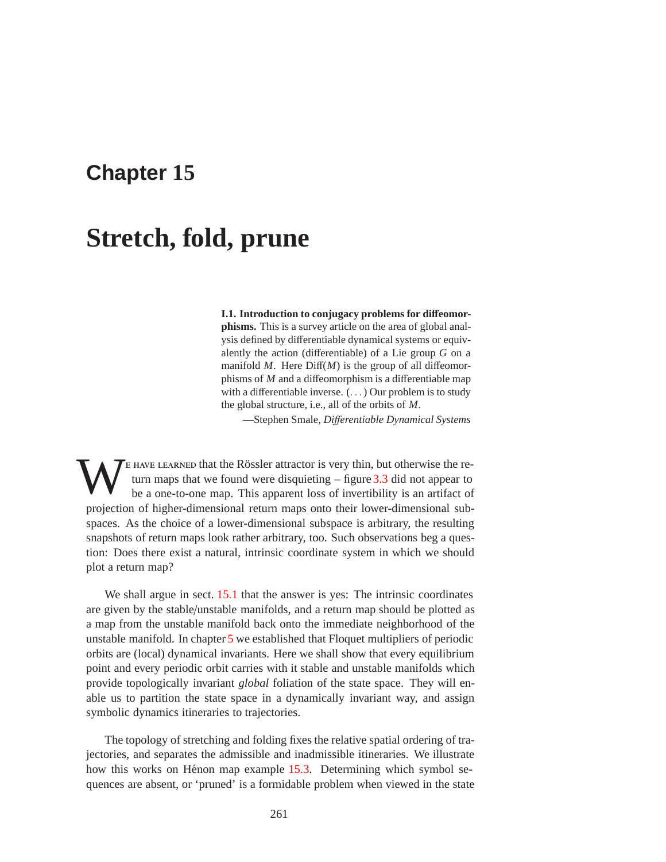# **Chapter 15**

# **Stretch, fold, prune**

**I.1. Introduction to conjugacy problems for diffeomorphisms.** This is a survey article on the area of global analysis defined by differentiable dynamical systems or equivalently the action (differentiable) of a Lie group *G* on a manifold  $M$ . Here  $\text{Diff}(M)$  is the group of all diffeomorphisms of *M* and a diffeomorphism is a differentiable map with a differentiable inverse. (...) Our problem is to study the global structure, i.e., all of the orbits of *M*.

—Stephen Smale, *Di*ff*erentiable Dynamical Systems*

E HAVE LEARNED that the Rössler attractor is very thin, but otherwise the return maps that we found were disquieting – figure 3.3 did not appear to be a one-to-one map. This apparent loss of invertibility is an artifact of turn maps that we found were disquieting  $-$  figure 3.3 did not appear to be a one-to-one map. This apparent loss of invertibility is an artifact of projection of higher-dimensional return maps onto their lower-dimensional subspaces. As the choice of a lower-dimensional subspace is arbitrary, the resulting snapshots of return maps look rather arbitrary, too. Such observations beg a question: Does there exist a natural, intrinsic coordinate system in which we should plot a return map?

We shall argue in sect. 15.1 that the answer is yes: The intrinsic coordinates are given by the stable/unstable manifolds, and a return map should be plotted as a map from the unstable manifold back onto the immediate neighborhood of the unstable manifold. In chapter 5 we established that Floquet multipliers of periodic orbits are (local) dynamical invariants. Here we shall show that every equilibrium point and every periodic orbit carries with it stable and unstable manifolds which provide topologically invariant *global* foliation of the state space. They will enable us to partition the state space in a dynamically invariant way, and assign symbolic dynamics itineraries to trajectories.

The topology of stretching and folding fixes the relative spatial ordering of trajectories, and separates the admissible and inadmissible itineraries. We illustrate how this works on Hénon map example 15.3. Determining which symbol sequences are absent, or 'pruned' is a formidable problem when viewed in the state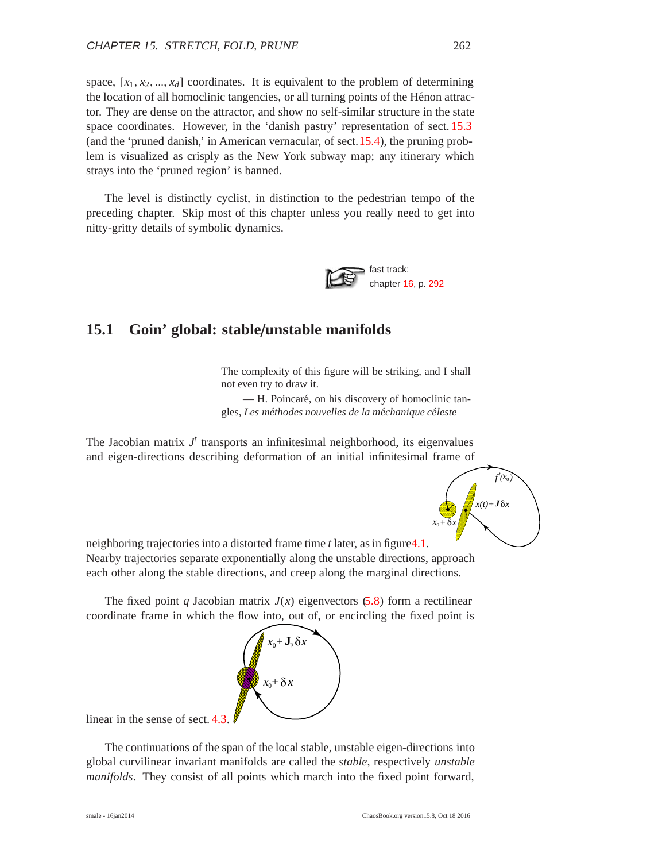space,  $[x_1, x_2, ..., x_d]$  coordinates. It is equivalent to the problem of determining the location of all homoclinic tangencies, or all turning points of the Hénon attractor. They are dense on the attractor, and show no self-similar structure in the state space coordinates. However, in the 'danish pastry' representation of sect. 15.3 (and the 'pruned danish,' in American vernacular, of sect.15.4), the pruning problem is visualized as crisply as the New York subway map; any itinerary which strays into the 'pruned region' is banned.

The level is distinctly cyclist, in distinction to the pedestrian tempo of the preceding chapter. Skip most of this chapter unless you really need to get into nitty-gritty details of symbolic dynamics.



#### **15.1 Goin' global: stable**/**unstable manifolds**

The complexity of this figure will be striking, and I shall not even try to draw it.

— H. Poincaré, on his discovery of homoclinic tangles, Les méthodes nouvelles de la méchanique céleste

The Jacobian matrix  $J<sup>t</sup>$  transports an infinitesimal neighborhood, its eigenvalues and eigen-directions describing deformation of an initial infinitesimal frame of



neighboring trajectories into a distorted frame time *t* later, as in figure4.1.

Nearby trajectories separate exponentially along the unstable directions, approach each other along the stable directions, and creep along the marginal directions.

The fixed point *q* Jacobian matrix  $J(x)$  eigenvectors  $(5.8)$  form a rectilinear coordinate frame in which the flow into, out of, or encircling the fixed point is



linear in the sense of sect.

The continuations of the span of the local stable, unstable eigen-directions into global curvilinear invariant manifolds are called the *stable*, respectively *unstable manifolds*. They consist of all points which march into the fixed point forward,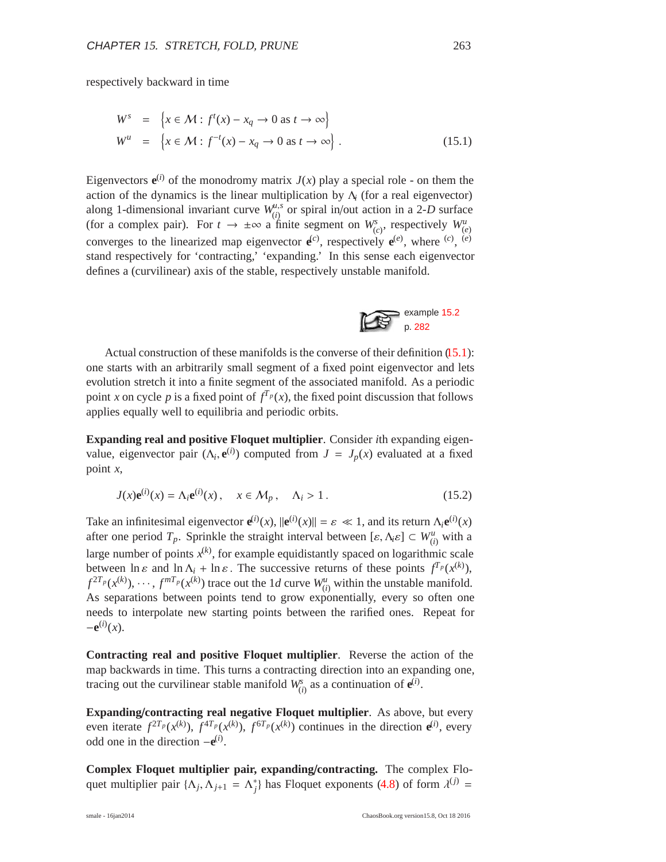respectively backward in time

$$
Ws = \left\{ x \in \mathcal{M} : ft(x) - xq \to 0 \text{ as } t \to \infty \right\}
$$
  

$$
Wu = \left\{ x \in \mathcal{M} : f-t(x) - xq \to 0 \text{ as } t \to \infty \right\}.
$$
 (15.1)

Eigenvectors  $e^{(i)}$  of the monodromy matrix  $J(x)$  play a special role - on them the action of the dynamics is the linear multiplication by  $\Lambda_i$  (for a real eigenvector) along 1-dimensional invariant curve  $W_{(i)}^{\mu,s}$  or spiral in/out action in a 2-*D* surface (for a complex pair). For  $t \to \pm \infty$  a finite segment on  $W^s_{(c)}$ , respectively  $W^u_{(e)}$ converges to the linearized map eigenvector  $\mathbf{e}^{(c)}$ , respectively  $\mathbf{e}^{(e)}$ , where  $^{(c)}$ ,  $^{(e)}$ stand respectively for 'contracting,' 'expanding.' In this sense each eigenvector defines a (curvilinear) axis of the stable, respectively unstable manifold.



Actual construction of these manifolds is the converse of their definition  $(15.1)$ : one starts with an arbitrarily small segment of a fixed point eigenvector and lets evolution stretch it into a finite segment of the associated manifold. As a periodic point *x* on cycle *p* is a fixed point of  $f^{T_p}(x)$ , the fixed point discussion that follows applies equally well to equilibria and periodic orbits.

**Expanding real and positive Floquet multiplier**. Consider *i*th expanding eigenvalue, eigenvector pair  $(\Lambda_i, e^{(i)})$  computed from  $J = J_p(x)$  evaluated at a fixed point *x*,

$$
J(x)\mathbf{e}^{(i)}(x) = \Lambda_i \mathbf{e}^{(i)}(x), \quad x \in \mathcal{M}_p, \quad \Lambda_i > 1.
$$
 (15.2)

Take an infinitesimal eigenvector  $\mathbf{e}^{(i)}(x)$ ,  $\|\mathbf{e}^{(i)}(x)\| = \varepsilon \ll 1$ , and its return  $\Lambda_i \mathbf{e}^{(i)}(x)$ after one period  $T_p$ . Sprinkle the straight interval between  $[\varepsilon, \Delta_i \varepsilon] \subset W_{(i)}^u$  with a large number of points  $x^{(k)}$ , for example equidistantly spaced on logarithmic scale between  $\ln \varepsilon$  and  $\ln \Lambda_i + \ln \varepsilon$ . The successive returns of these points  $f^{T_p}(x^{(k)})$ ,  $f^{2T_p}(x^{(k)})$ ,  $\cdots$ ,  $f^{mT_p}(x^{(k)})$  trace out the 1*d* curve  $W_{(i)}^u$  within the unstable manifold. As separations between points tend to grow exponentially, every so often one needs to interpolate new starting points between the rarified ones. Repeat for  $-e^{(i)}(x)$ .

**Contracting real and positive Floquet multiplier**. Reverse the action of the map backwards in time. This turns a contracting direction into an expanding one, tracing out the curvilinear stable manifold  $W_{(i)}^s$  as a continuation of  $e^{(i)}$ .

**Expanding**/**contracting real negative Floquet multiplier**. As above, but every even iterate  $f^{2T_p}(x^{(k)})$ ,  $f^{4T_p}(x^{(k)})$ ,  $f^{6T_p}(x^{(k)})$  continues in the direction  $e^{(i)}$ , every odd one in the direction  $-e^{(i)}$ .

**Complex Floquet multiplier pair, expanding**/**contracting.** The complex Floquet multiplier pair  $\{\Lambda_j, \Lambda_{j+1} = \Lambda_j^*\}$  has Floquet exponents (4.8) of form  $\lambda^{(j)} =$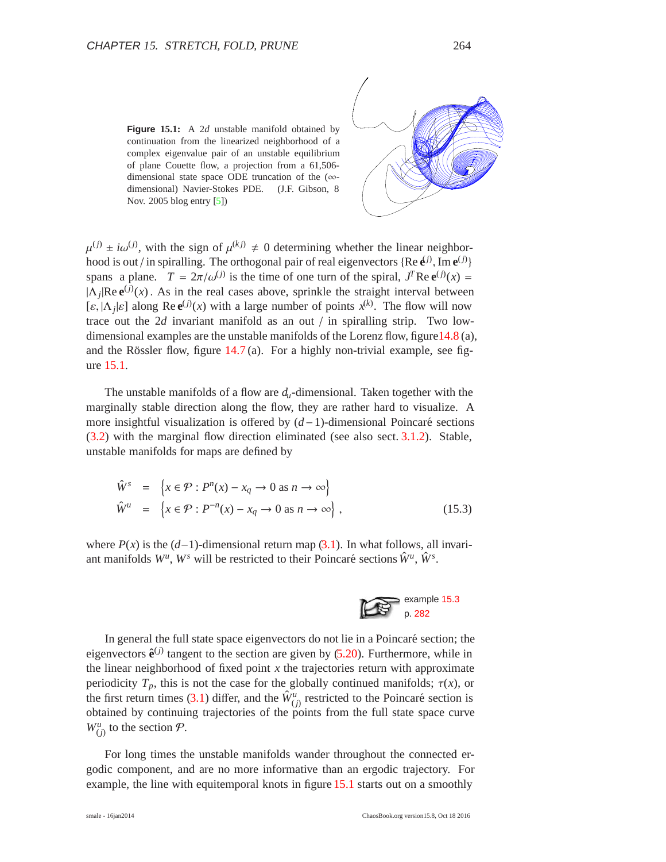Nov. 2005 blog entry [5])

**Figure 15.1:** A 2*d* unstable manifold obtained by continuation from the linearized neighborhood of a complex eigenvalue pair of an unstable equilibrium of plane Couette flow, a projection from a 61,506 dimensional state space ODE truncation of the  $(\infty$ dimensional) Navier-Stokes PDE. (J.F. Gibson, 8



 $\mu^{(j)} \pm i\omega^{(j)}$ , with the sign of  $\mu^{(kj)} \neq 0$  determining whether the linear neighborhood is out / in spiralling. The orthogonal pair of real eigenvectors {Re  $\mathbf{e}^{(j)}$ , Im  $\mathbf{e}^{(j)}$ } spans a plane.  $T = 2\pi/\omega^{(j)}$  is the time of one turn of the spiral,  $J<sup>T</sup>$ Re  $e^{(j)}(x)$  =  $|\Lambda_j|$ Re  $e^{(j)}(x)$ . As in the real cases above, sprinkle the straight interval between  $[\varepsilon, \vert \Lambda_j \vert \varepsilon]$  along Re  $e^{(j)}(x)$  with a large number of points  $x^{(k)}$ . The flow will now trace out the 2*d* invariant manifold as an out / in spiralling strip. Two lowdimensional examples are the unstable manifolds of the Lorenz flow, figure 14.8 (a), and the Rössler flow, figure  $14.7$  (a). For a highly non-trivial example, see figure 15.1.

The unstable manifolds of a flow are  $d<sub>u</sub>$ -dimensional. Taken together with the marginally stable direction along the flow, they are rather hard to visualize. A more insightful visualization is offered by (*d*−1)-dimensional Poincaré sections (3.2) with the marginal flow direction eliminated (see also sect. 3.1.2). Stable, unstable manifolds for maps are defined by

$$
\hat{W}^s = \left\{ x \in \mathcal{P} : P^n(x) - x_q \to 0 \text{ as } n \to \infty \right\}
$$
  

$$
\hat{W}^u = \left\{ x \in \mathcal{P} : P^{-n}(x) - x_q \to 0 \text{ as } n \to \infty \right\},
$$
 (15.3)

where  $P(x)$  is the  $(d-1)$ -dimensional return map  $(3.1)$ . In what follows, all invariant manifolds  $W^u$ ,  $W^s$  will be restricted to their Poincaré sections  $\hat{W}^u$ ,  $\hat{W}^s$ .



In general the full state space eigenvectors do not lie in a Poincaré section; the eigenvectors  $\hat{\mathbf{e}}^{(j)}$  tangent to the section are given by  $(5.20)$ . Furthermore, while in the linear neighborhood of fixed point  $x$  the trajectories return with approximate periodicity  $T_p$ , this is not the case for the globally continued manifolds;  $\tau(x)$ , or the first return times (3.1) differ, and the  $\hat{W}_{(j)}^u$  restricted to the Poincaré section is obtained by continuing trajectories of the points from the full state space curve  $W_{(j)}^u$  to the section  $\mathcal{P}$ .

For long times the unstable manifolds wander throughout the connected ergodic component, and are no more informative than an ergodic trajectory. For example, the line with equitemporal knots in figure 15.1 starts out on a smoothly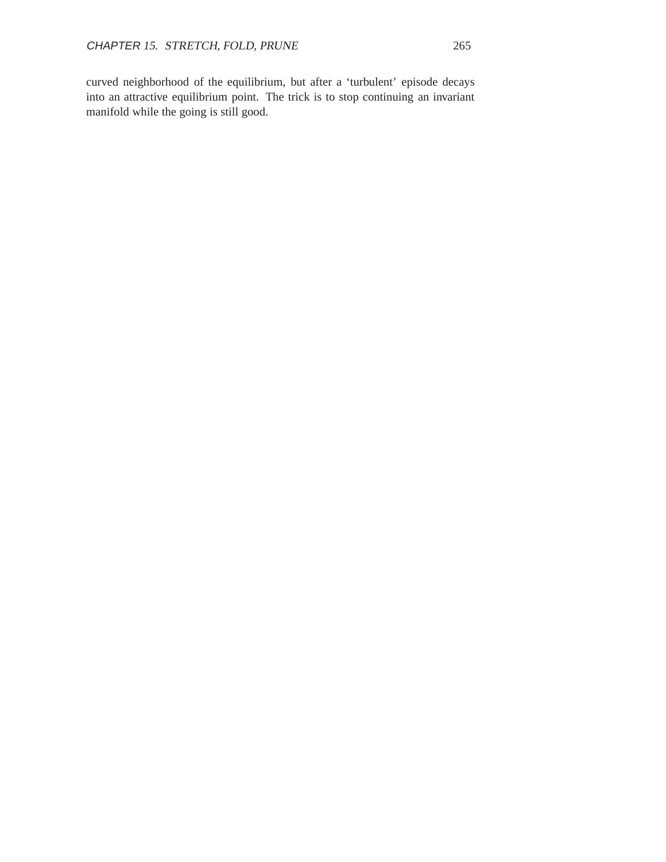curved neighborhood of the equilibrium, but after a 'turbulent' episode decays into an attractive equilibrium point. The trick is to stop continuing an invariant manifold while the going is still good.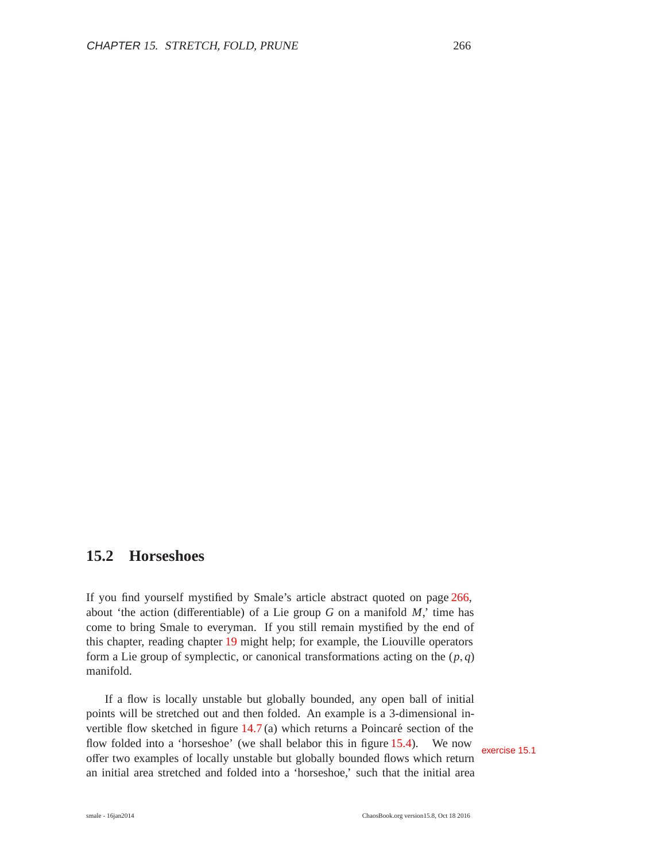#### **15.2 Horseshoes**

If you find yourself mystified by Smale's article abstract quoted on page 266, about 'the action (differentiable) of a Lie group  $G$  on a manifold  $M$ ,' time has come to bring Smale to everyman. If you still remain mystified by the end of this chapter, reading chapter 19 might help; for example, the Liouville operators form a Lie group of symplectic, or canonical transformations acting on the  $(p, q)$ manifold.

If a flow is locally unstable but globally bounded, any open ball of initial points will be stretched out and then folded. An example is a 3-dimensional invertible flow sketched in figure  $14.7$  (a) which returns a Poincaré section of the flow folded into a 'horseshoe' (we shall belabor this in figure 15.4). We now exercise 15.1 offer two examples of locally unstable but globally bounded flows which return an initial area stretched and folded into a 'horseshoe,' such that the initial area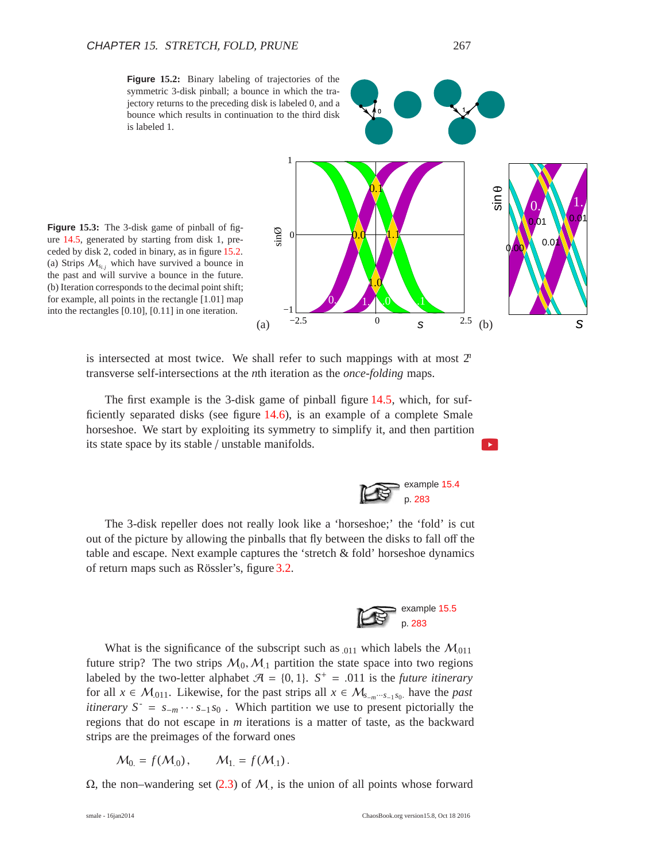**Figure 15.2:** Binary labeling of trajectories of the symmetric 3-disk pinball; a bounce in which the trajectory returns to the preceding disk is labeled 0, and a bounce which results in continuation to the third disk is labeled 1.





is intersected at most twice. We shall refer to such mappings with at most  $2^n$ transverse self-intersections at the *n*th iteration as the *once-folding* maps.

The first example is the 3-disk game of pinball figure 14.5, which, for sufficiently separated disks (see figure 14.6), is an example of a complete Smale horseshoe. We start by exploiting its symmetry to simplify it, and then partition its state space by its stable / unstable manifolds.

The 3-disk repeller does not really look like a 'horseshoe;' the 'fold' is cut out of the picture by allowing the pinballs that fly between the disks to fall off the table and escape. Next example captures the 'stretch & fold' horseshoe dynamics of return maps such as Rössler's, figure 3.2.



example 15.4 p. 283

What is the significance of the subscript such as  $_{011}$  which labels the  $M_{.011}$ future strip? The two strips  $M_0, M_1$  partition the state space into two regions labeled by the two-letter alphabet  $A = \{0, 1\}$ .  $S^+ = .011$  is the *future itinerary* for all *x* ∈  $M_{.011}$ . Likewise, for the past strips all *x* ∈  $M_{s_{-m}\cdots s_{-1}s_0}$  have the *past itinerary*  $S = s_{-m} \cdots s_{-1} s_0$ . Which partition we use to present pictorially the regions that do not escape in *m* iterations is a matter of taste, as the backward strips are the preimages of the forward ones

$$
\mathcal{M}_0 = f(\mathcal{M}_0), \qquad \mathcal{M}_1 = f(\mathcal{M}_1).
$$

 $Ω$ , the non–wandering set  $(2.3)$  of  $M$ , is the union of all points whose forward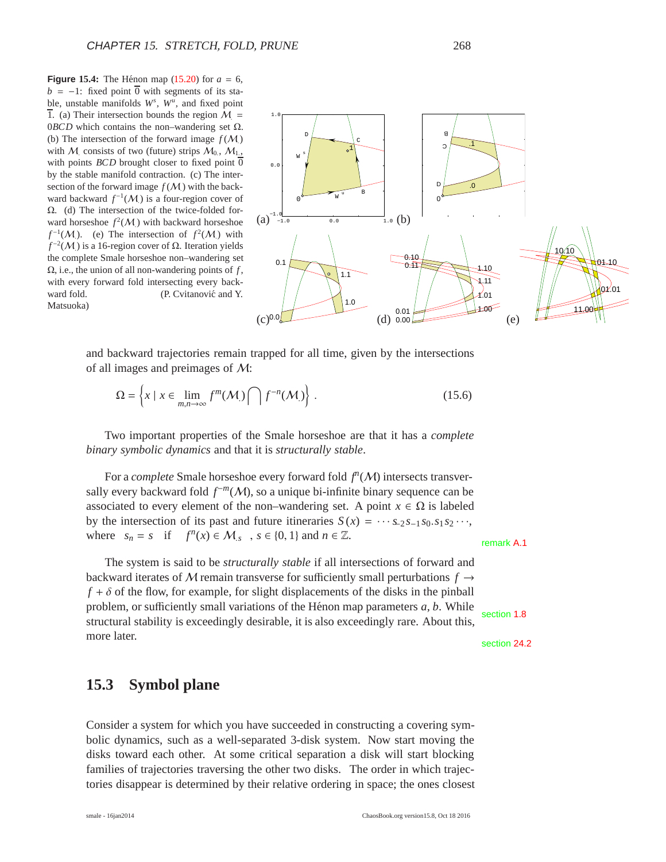**Figure 15.4:** The Hénon map  $(15.20)$  for  $a = 6$ ,  $b = -1$ : fixed point  $\overline{0}$  with segments of its stable, unstable manifolds *W<sup>s</sup>* , *W<sup>u</sup>*, and fixed point 1. (a) Their intersection bounds the region  $M =$ 0*BCD* which contains the non–wandering set  $Ω$ . (b) The intersection of the forward image  $f(M)$ with M consists of two (future) strips  $M_0$ ,  $M_1$ , with points *BCD* brought closer to fixed point  $\overline{0}$ by the stable manifold contraction. (c) The intersection of the forward image  $f(M)$  with the backward backward  $f^{-1}(M)$  is a four-region cover of Ω. (d) The intersection of the twice-folded forward horseshoe  $f^2(\mathcal{M})$  with backward horseshoe  $f^{-1}(M)$ . (e) The intersection of  $f^2(M)$  with  $f^{-2}(\mathcal{M})$  is a 16-region cover of  $\Omega$ . Iteration yields the complete Smale horseshoe non–wandering set  $\Omega$ , i.e., the union of all non-wandering points of *f*, with every forward fold intersecting every backward fold. (P. Cvitanović and Y. Matsuoka)



and backward trajectories remain trapped for all time, given by the intersections of all images and preimages of M:

$$
\Omega = \left\{ x \mid x \in \lim_{m,n \to \infty} f^m(M) \bigcap f^{-n}(M) \right\}.
$$
 (15.6)

Two important properties of the Smale horseshoe are that it has a *complete binary symbolic dynamics* and that it is *structurally stable*.

For a *complete* Smale horseshoe every forward fold  $f^n(M)$  intersects transversally every backward fold  $f^{-m}(M)$ , so a unique bi-infinite binary sequence can be associated to every element of the non–wandering set. A point  $x \in \Omega$  is labeled by the intersection of its past and future itineraries  $S(x) = \cdots s_{2} s_{-1} s_{0} s_{1} s_{2} \cdots$ , where  $s_n = s$  if  $f^n(x) \in M$ ,  $s \in \{0, 1\}$  and  $n \in \mathbb{Z}$ .

The system is said to be *structurally stable* if all intersections of forward and backward iterates of M remain transverse for sufficiently small perturbations  $f \rightarrow$  $f + \delta$  of the flow, for example, for slight displacements of the disks in the pinball problem, or sufficiently small variations of the Hénon map parameters  $a$ ,  $b$ . While section 1.8 section 1.8 section 1.8 more later. Section 24.2

#### **15.3 Symbol plane**

Consider a system for which you have succeeded in constructing a covering symbolic dynamics, such as a well-separated 3-disk system. Now start moving the disks toward each other. At some critical separation a disk will start blocking families of trajectories traversing the other two disks. The order in which trajectories disappear is determined by their relative ordering in space; the ones closest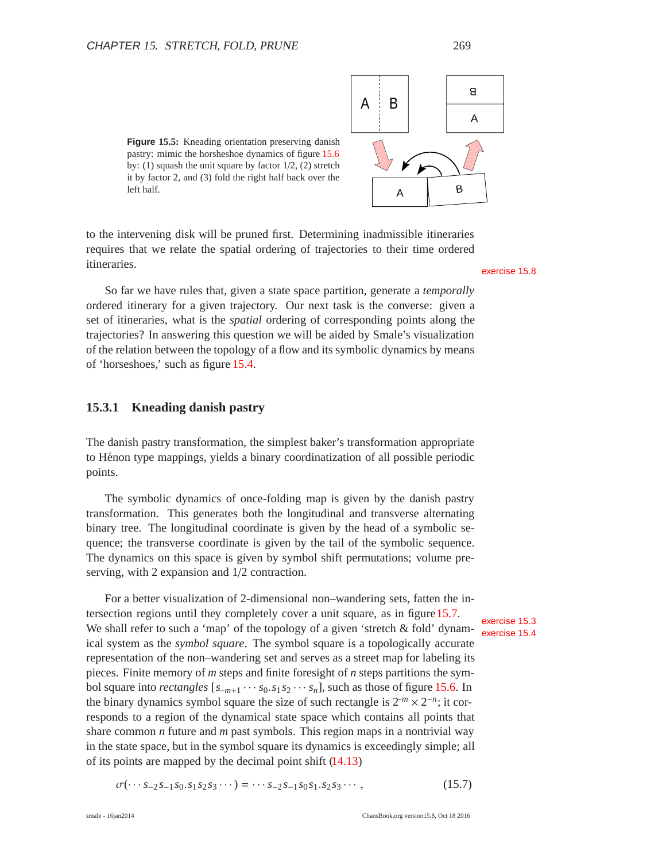

**Figure 15.5:** Kneading orientation preserving danish pastry: mimic the horsheshoe dynamics of figure 15.6 by: (1) squash the unit square by factor 1/2, (2) stretch it by factor 2, and (3) fold the right half back over the left half.

to the intervening disk will be pruned first. Determining inadmissible itineraries requires that we relate the spatial ordering of trajectories to their time ordered itineraries.<br>
Exercise 15.8<br>
exercise 15.8

So far we have rules that, given a state space partition, generate a *temporally* ordered itinerary for a given trajectory. Our next task is the converse: given a set of itineraries, what is the *spatial* ordering of corresponding points along the trajectories? In answering this question we will be aided by Smale's visualization of the relation between the topology of a flow and its symbolic dynamics by means of 'horseshoes,' such as figure 15.4.

#### **15.3.1 Kneading danish pastry**

The danish pastry transformation, the simplest baker's transformation appropriate to Hénon type mappings, yields a binary coordinatization of all possible periodic points.

The symbolic dynamics of once-folding map is given by the danish pastry transformation. This generates both the longitudinal and transverse alternating binary tree. The longitudinal coordinate is given by the head of a symbolic sequence; the transverse coordinate is given by the tail of the symbolic sequence. The dynamics on this space is given by symbol shift permutations; volume preserving, with 2 expansion and 1/2 contraction.

For a better visualization of 2-dimensional non–wandering sets, fatten the intersection regions until they completely cover a unit square, as in figure 15.7. exercise 15.3 We shall refer to such a 'map' of the topology of a given 'stretch & fold' dynam- exercise 15.4 ical system as the *symbol square*. The symbol square is a topologically accurate representation of the non–wandering set and serves as a street map for labeling its pieces. Finite memory of *m* steps and finite foresight of *n* steps partitions the symbol square into *rectangles*  $[s_{-m+1} \cdots s_0 \cdot s_1 s_2 \cdots s_n]$ , such as those of figure 15.6. In the binary dynamics symbol square the size of such rectangle is  $2^{-m} \times 2^{-n}$ ; it corresponds to a region of the dynamical state space which contains all points that share common *n* future and *m* past symbols. This region maps in a nontrivial way in the state space, but in the symbol square its dynamics is exceedingly simple; all of its points are mapped by the decimal point shift (14.13)

$$
\sigma(\cdots s_{-2} s_{-1} s_0 s_1 s_2 s_3 \cdots) = \cdots s_{-2} s_{-1} s_0 s_1 s_2 s_3 \cdots,
$$
\n(15.7)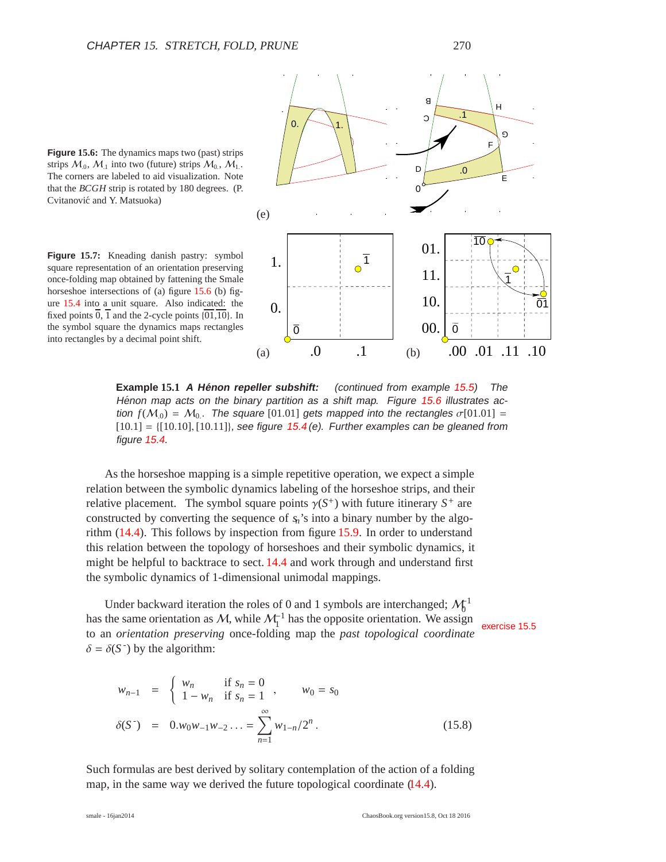

**Figure 15.7:** Kneading danish pastry: symbol square representation of an orientation preserving once-folding map obtained by fattening the Smale horseshoe intersections of (a) figure 15.6 (b) figure 15.4 into a unit square. Also indicated: the fixed points  $\overline{0}$ ,  $\overline{1}$  and the 2-cycle points  $\{\overline{01},\overline{10}\}$ . In the symbol square the dynamics maps rectangles into rectangles by a decimal point shift.



**Example 15.1 A Hénon repeller subshift:** (continued from example 15.5) The Hénon map acts on the binary partition as a shift map. Figure  $15.6$  illustrates action  $f(M_0) = M_0$ . The square [01.01] gets mapped into the rectangles  $\sigma$ [01.01] =  $[10.1] = \{[10.10], [10.11]\}$ , see figure 15.4 (e). Further examples can be gleaned from figure 15.4.

As the horseshoe mapping is a simple repetitive operation, we expect a simple relation between the symbolic dynamics labeling of the horseshoe strips, and their relative placement. The symbol square points  $\gamma(S^+)$  with future itinerary  $S^+$  are constructed by converting the sequence of  $s_n$ 's into a binary number by the algorithm (14.4). This follows by inspection from figure 15.9. In order to understand this relation between the topology of horseshoes and their symbolic dynamics, it might be helpful to backtrace to sect. 14.4 and work through and understand first the symbolic dynamics of 1-dimensional unimodal mappings.

Under backward iteration the roles of 0 and 1 symbols are interchanged;  $\mathcal{N}_0^{-1}$ has the same orientation as M, while  $\mathcal{M}_1^{-1}$  has the opposite orientation. We assign exercise 15.5 to an *orientation preserving* once-folding map the *past topological coordinate*  $\delta = \delta(S^-)$  by the algorithm:

$$
w_{n-1} = \begin{cases} w_n & \text{if } s_n = 0 \\ 1 - w_n & \text{if } s_n = 1 \end{cases}, \qquad w_0 = s_0
$$
  

$$
\delta(S^-) = 0.w_0w_{-1}w_{-2}... = \sum_{n=1}^{\infty} w_{1-n}/2^n.
$$
 (15.8)

Such formulas are best derived by solitary contemplation of the action of a folding map, in the same way we derived the future topological coordinate  $(14.4)$ .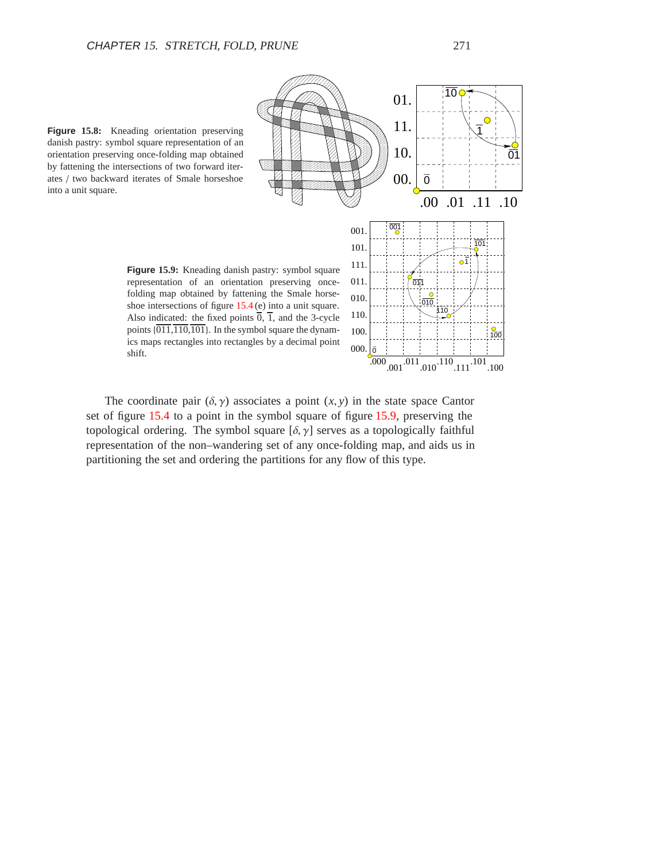

**Figure 15.9:** Kneading danish pastry: symbol square representation of an orientation preserving oncefolding map obtained by fattening the Smale horseshoe intersections of figure 15.4 (e) into a unit square. Also indicated: the fixed points  $\overline{0}$ ,  $\overline{1}$ , and the 3-cycle points  $\{011,110,101\}$ . In the symbol square the dynamics maps rectangles into rectangles by a decimal point shift.



The coordinate pair  $(\delta, \gamma)$  associates a point  $(x, y)$  in the state space Cantor set of figure 15.4 to a point in the symbol square of figure 15.9, preserving the topological ordering. The symbol square  $[\delta, \gamma]$  serves as a topologically faithful representation of the non–wandering set of any once-folding map, and aids us in partitioning the set and ordering the partitions for any flow of this type.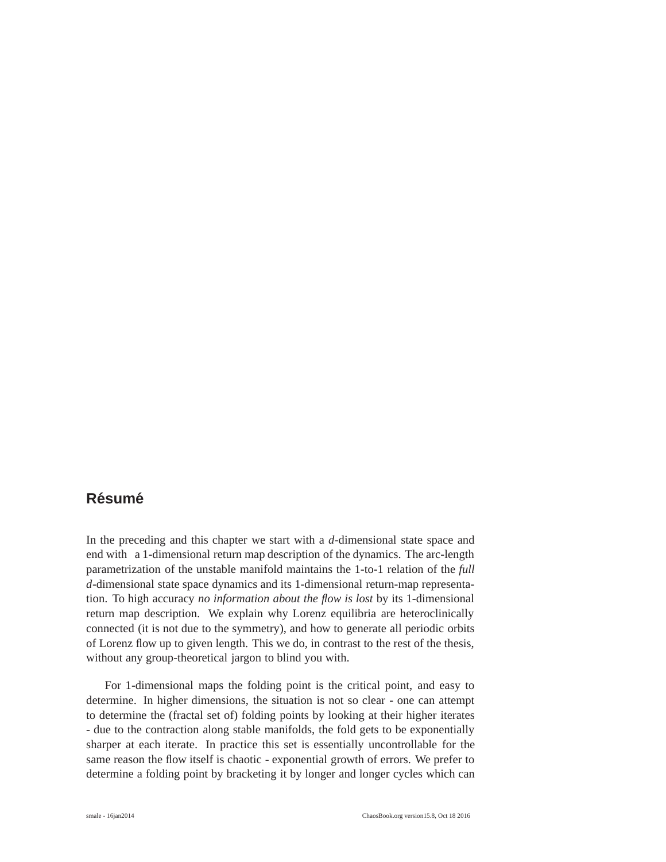### **Résumé**

In the preceding and this chapter we start with a *d*-dimensional state space and end with a 1-dimensional return map description of the dynamics. The arc-length parametrization of the unstable manifold maintains the 1-to-1 relation of the *full d*-dimensional state space dynamics and its 1-dimensional return-map representation. To high accuracy *no information about the flow is lost* by its 1-dimensional return map description. We explain why Lorenz equilibria are heteroclinically connected (it is not due to the symmetry), and how to generate all periodic orbits of Lorenz flow up to given length. This we do, in contrast to the rest of the thesis, without any group-theoretical jargon to blind you with.

For 1-dimensional maps the folding point is the critical point, and easy to determine. In higher dimensions, the situation is not so clear - one can attempt to determine the (fractal set of) folding points by looking at their higher iterates - due to the contraction along stable manifolds, the fold gets to be exponentially sharper at each iterate. In practice this set is essentially uncontrollable for the same reason the flow itself is chaotic - exponential growth of errors. We prefer to determine a folding point by bracketing it by longer and longer cycles which can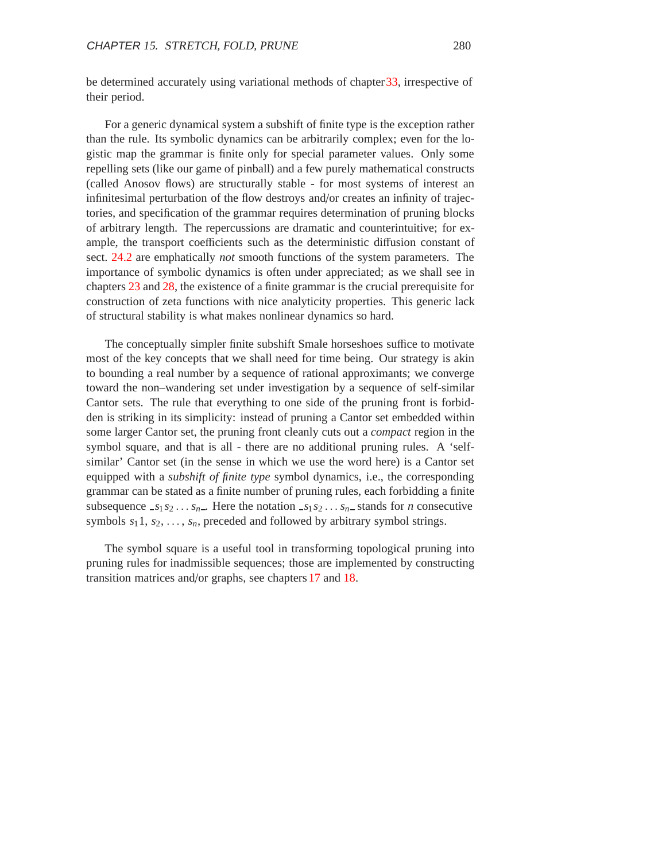be determined accurately using variational methods of chapter33, irrespective of their period.

For a generic dynamical system a subshift of finite type is the exception rather than the rule. Its symbolic dynamics can be arbitrarily complex; even for the logistic map the grammar is finite only for special parameter values. Only some repelling sets (like our game of pinball) and a few purely mathematical constructs (called Anosov flows) are structurally stable - for most systems of interest an infinitesimal perturbation of the flow destroys and/or creates an infinity of trajectories, and specification of the grammar requires determination of pruning blocks of arbitrary length. The repercussions are dramatic and counterintuitive; for example, the transport coefficients such as the deterministic diffusion constant of sect. 24.2 are emphatically *not* smooth functions of the system parameters. The importance of symbolic dynamics is often under appreciated; as we shall see in chapters 23 and 28, the existence of a finite grammar is the crucial prerequisite for construction of zeta functions with nice analyticity properties. This generic lack of structural stability is what makes nonlinear dynamics so hard.

The conceptually simpler finite subshift Smale horseshoes suffice to motivate most of the key concepts that we shall need for time being. Our strategy is akin to bounding a real number by a sequence of rational approximants; we converge toward the non–wandering set under investigation by a sequence of self-similar Cantor sets. The rule that everything to one side of the pruning front is forbidden is striking in its simplicity: instead of pruning a Cantor set embedded within some larger Cantor set, the pruning front cleanly cuts out a *compact* region in the symbol square, and that is all - there are no additional pruning rules. A 'selfsimilar' Cantor set (in the sense in which we use the word here) is a Cantor set equipped with a *subshift of finite type* symbol dynamics, i.e., the corresponding grammar can be stated as a finite number of pruning rules, each forbidding a finite subsequence  $s_1 s_2 \ldots s_n$ . Here the notation  $s_1 s_2 \ldots s_n$  stands for *n* consecutive symbols  $s_1$ 1,  $s_2$ , ...,  $s_n$ , preceded and followed by arbitrary symbol strings.

The symbol square is a useful tool in transforming topological pruning into pruning rules for inadmissible sequences; those are implemented by constructing transition matrices and/or graphs, see chapters 17 and 18.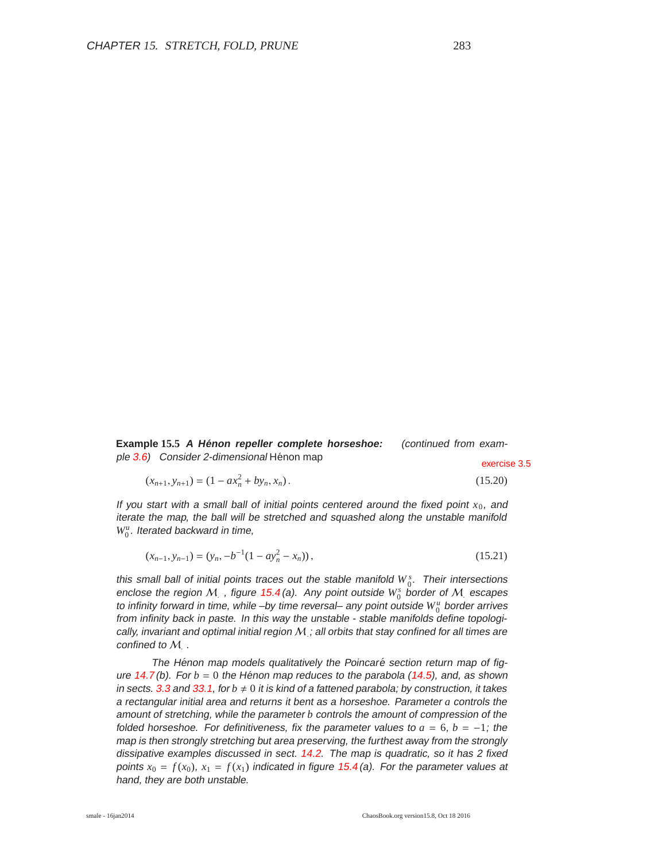**Example 15.5 <sup>A</sup> Henon repeller complete horseshoe: ´** (continued from example 3.6) Consider 2-dimensional Hénon map  $\frac{1}{2}$  exercise 3.5

 $(x_{n+1}, y_{n+1}) = (1 - ax_n^2 + by_n, x_n).$  (15.20)

If you start with a small ball of initial points centered around the fixed point  $x<sub>0</sub>$ , and iterate the map, the ball will be stretched and squashed along the unstable manifold W<sub>0</sub>. Iterated backward in time,

$$
(x_{n-1}, y_{n-1}) = (y_n, -b^{-1}(1 - a y_n^2 - x_n)),
$$
\n(15.21)

this small ball of initial points traces out the stable manifold *W <sup>s</sup>* <sup>0</sup>. Their intersections enclose the region M<sub>.</sub>, figure 15.4 (a). Any point outside  $W_0^s$  border of M<sub>.</sub> escapes to infinity forward in time, while –by time reversal– any point outside  $W^u_0$  border arrives from infinity back in paste. In this way the unstable - stable manifolds define topologically, invariant and optimal initial region  $M$ ; all orbits that stay confined for all times are confined to M. .

The Hénon map models qualitatively the Poincaré section return map of figure 14.7(b). For  $b = 0$  the Hénon map reduces to the parabola  $(14.5)$ , and, as shown in sects. 3.3 and 33.1, for  $b\neq 0$  it is kind of a fattened parabola; by construction, it takes <sup>a</sup> rectangular initial area and returns it bent as <sup>a</sup> horseshoe. Parameter *a* controls the amount of stretching, while the parameter *b* controls the amount of compression of the folded horseshoe. For definitiveness, fix the parameter values to  $a = 6$ ,  $b = -1$ ; the map is then strongly stretching but area preserving, the furthest away from the strongly dissipative examples discussed in sect. 14.2. The map is quadratic, so it has 2 fixed points  $x_0 = f(x_0)$ ,  $x_1 = f(x_1)$  indicated in figure 15.4 (a). For the parameter values at hand, they are both unstable.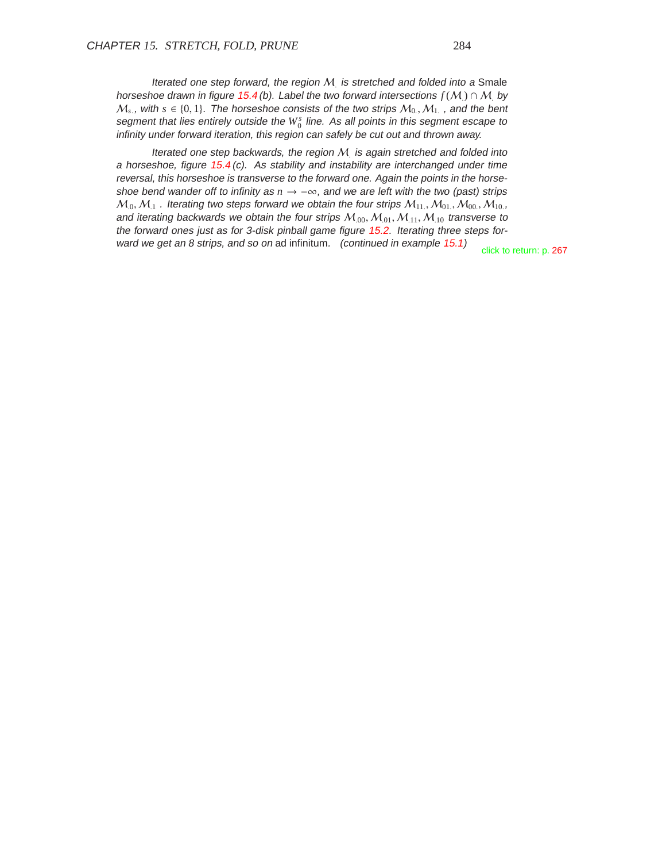Iterated one step forward, the region  $M$  is stretched and folded into a Smale horseshoe drawn in figure 15.4 (b). Label the two forward intersections  $f(M) \cap M$  by  $M_s$ , with  $s \in \{0, 1\}$ . The horseshoe consists of the two strips  $M_0, M_1$ , and the bent segment that lies entirely outside the  $W_0^s$  line. As all points in this segment escape to infinity under forward iteration, this region can safely be cut out and thrown away.

Iterated one step backwards, the region  $M$  is again stretched and folded into a horseshoe, figure  $15.4$  (c). As stability and instability are interchanged under time reversal, this horseshoe is transverse to the forward one. Again the points in the horseshoe bend wander off to infinity as  $n \to -\infty$ , and we are left with the two (past) strips  $M_{.0}, M_{.1}$ . Iterating two steps forward we obtain the four strips  $M_{11}$ ,  $M_{01}$ ,  $M_{00}$ ,  $M_{10}$ , and iterating backwards we obtain the four strips  $M_{.00}$ ,  $M_{.01}$ ,  $M_{.11}$ ,  $M_{.10}$  transverse to the forward ones just as for 3-disk pinball game figure 15.2. Iterating three steps forward we get an 8 strips, and so on ad infinitum. (continued in example 15.1) click to return: p. 267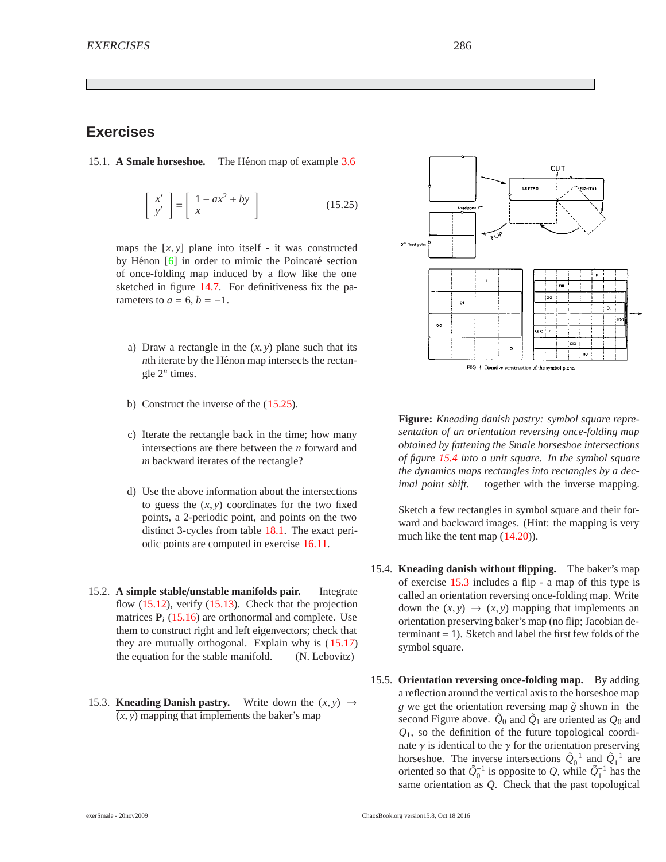## **Exercises**

15.1. A Smale horseshoe. The Hénon map of example 3.6

$$
\begin{bmatrix} x' \\ y' \end{bmatrix} = \begin{bmatrix} 1 - ax^2 + by \\ x \end{bmatrix}
$$
 (15.25)

maps the  $[x, y]$  plane into itself - it was constructed by Hénon  $\lceil 6 \rceil$  in order to mimic the Poincaré section of once-folding map induced by a flow like the one sketched in figure 14.7. For definitiveness fix the parameters to  $a = 6$ ,  $b = -1$ .

- a) Draw a rectangle in the  $(x, y)$  plane such that its *n*th iterate by the Hénon map intersects the rectangle  $2^n$  times.
- b) Construct the inverse of the (15.25).
- c) Iterate the rectangle back in the time; how many intersections are there between the *n* forward and *m* backward iterates of the rectangle?
- d) Use the above information about the intersections to guess the  $(x, y)$  coordinates for the two fixed points, a 2-periodic point, and points on the two distinct 3-cycles from table 18.1. The exact periodic points are computed in exercise 16.11.
- 15.2. **A simple stable**/**unstable manifolds pair.** Integrate flow  $(15.12)$ , verify  $(15.13)$ . Check that the projection matrices  $P_i$  (15.16) are orthonormal and complete. Use them to construct right and left eigenvectors; check that they are mutually orthogonal. Explain why is (15.17) the equation for the stable manifold. (N. Lebovitz)
- 15.3. **Kneading Danish pastry.** Write down the  $(x, y) \rightarrow$  $(x, y)$  mapping that implements the baker's map



**Figure:** *Kneading danish pastry: symbol square representation of an orientation reversing once-folding map obtained by fattening the Smale horseshoe intersections of figure 15.4 into a unit square. In the symbol square the dynamics maps rectangles into rectangles by a decimal point shift.* together with the inverse mapping.

Sketch a few rectangles in symbol square and their forward and backward images. (Hint: the mapping is very much like the tent map  $(14.20)$ ).

- 15.4. **Kneading danish without flipping.** The baker's map of exercise 15.3 includes a flip - a map of this type is called an orientation reversing once-folding map. Write down the  $(x, y) \rightarrow (x, y)$  mapping that implements an orientation preserving baker's map (no flip; Jacobian determinant = 1). Sketch and label the first few folds of the symbol square.
- 15.5. **Orientation reversing once-folding map.** By adding a reflection around the vertical axis to the horseshoe map *g* we get the orientation reversing map  $\tilde{g}$  shown in the second Figure above.  $\tilde{Q}_0$  and  $\tilde{Q}_1$  are oriented as  $Q_0$  and *Q*1, so the definition of the future topological coordinate  $\gamma$  is identical to the  $\gamma$  for the orientation preserving horseshoe. The inverse intersections  $\tilde{Q}_0^{-1}$  and  $\tilde{Q}_1^{-1}$  are oriented so that  $\tilde{Q}_0^{-1}$  is opposite to *Q*, while  $\tilde{Q}_1^{-1}$  has the same orientation as *Q*. Check that the past topological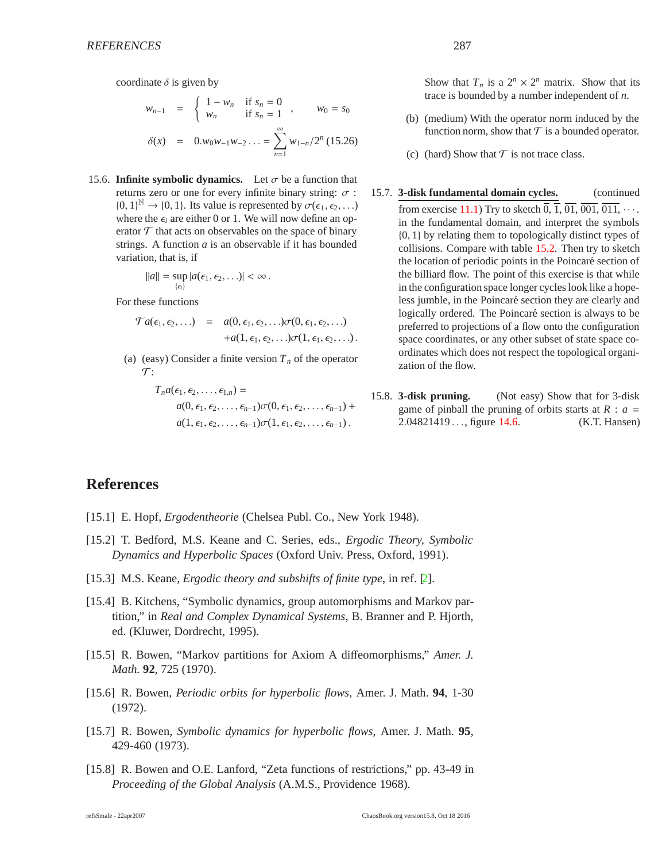coordinate  $\delta$  is given by

$$
w_{n-1} = \begin{cases} 1 - w_n & \text{if } s_n = 0 \\ w_n & \text{if } s_n = 1 \end{cases}, \qquad w_0 = s_0
$$
  

$$
\delta(x) = 0.w_0w_{-1}w_{-2}... = \sum_{n=1}^{\infty} w_{1-n}/2^n \ (15.26)
$$

15.6. **Infinite symbolic dynamics.** Let  $\sigma$  be a function that returns zero or one for every infinite binary string:  $\sigma$ :  ${0, 1}^{\mathbb{N}} \to {0, 1}$ . Its value is represented by  $\sigma(\epsilon_1, \epsilon_2, ...)$ where the  $\epsilon_i$  are either 0 or 1. We will now define an operator  $\mathcal T$  that acts on observables on the space of binary strings. A function *a* is an observable if it has bounded variation, that is, if

$$
||a|| = \sup_{\{\epsilon_i\}} |a(\epsilon_1, \epsilon_2, \ldots)| < \infty.
$$

For these functions

$$
\mathcal{T}a(\epsilon_1, \epsilon_2, \ldots) = a(0, \epsilon_1, \epsilon_2, \ldots) \sigma(0, \epsilon_1, \epsilon_2, \ldots)
$$

$$
+ a(1, \epsilon_1, \epsilon_2, \ldots) \sigma(1, \epsilon_1, \epsilon_2, \ldots).
$$

(a) (easy) Consider a finite version  $T_n$  of the operator  $\mathcal{T}$ :

$$
T_n a(\epsilon_1, \epsilon_2, \ldots, \epsilon_{1,n}) =
$$
  
\n
$$
a(0, \epsilon_1, \epsilon_2, \ldots, \epsilon_{n-1}) \sigma(0, \epsilon_1, \epsilon_2, \ldots, \epsilon_{n-1}) +
$$
  
\n
$$
a(1, \epsilon_1, \epsilon_2, \ldots, \epsilon_{n-1}) \sigma(1, \epsilon_1, \epsilon_2, \ldots, \epsilon_{n-1}).
$$

Show that  $T_n$  is a  $2^n \times 2^n$  matrix. Show that its trace is bounded by a number independent of *n*.

- (b) (medium) With the operator norm induced by the function norm, show that  $\mathcal T$  is a bounded operator.
- (c) (hard) Show that  $\mathcal T$  is not trace class.
- 15.7. **3-disk fundamental domain cycles.** (continued from exercise 11.1) Try to sketch  $\overline{0}$ ,  $\overline{1}$ ,  $\overline{01}$ ,  $\overline{001}$ ,  $\overline{011}$ ,  $\cdots$ . in the fundamental domain, and interpret the symbols {0, 1} by relating them to topologically distinct types of collisions. Compare with table 15.2. Then try to sketch the location of periodic points in the Poincaré section of the billiard flow. The point of this exercise is that while in the configuration space longer cycles look like a hopeless jumble, in the Poincaré section they are clearly and logically ordered. The Poincaré section is always to be preferred to projections of a flow onto the configuration space coordinates, or any other subset of state space coordinates which does not respect the topological organization of the flow.
- 15.8. **3-disk pruning.** (Not easy) Show that for 3-disk game of pinball the pruning of orbits starts at  $R : a =$ 2.04821419 ..., figure 14.6. (K.T. Hansen)

#### **References**

- [15.1] E. Hopf, *Ergodentheorie* (Chelsea Publ. Co., New York 1948).
- [15.2] T. Bedford, M.S. Keane and C. Series, eds., *Ergodic Theory, Symbolic Dynamics and Hyperbolic Spaces* (Oxford Univ. Press, Oxford, 1991).
- [15.3] M.S. Keane, *Ergodic theory and subshifts of finite type*, in ref. [2].
- [15.4] B. Kitchens, "Symbolic dynamics, group automorphisms and Markov partition," in *Real and Complex Dynamical Systems*, B. Branner and P. Hjorth, ed. (Kluwer, Dordrecht, 1995).
- [15.5] R. Bowen, "Markov partitions for Axiom A diffeomorphisms," *Amer. J. Math.* **92**, 725 (1970).
- [15.6] R. Bowen, *Periodic orbits for hyperbolic flows*, Amer. J. Math. **94**, 1-30 (1972).
- [15.7] R. Bowen, *Symbolic dynamics for hyperbolic flows*, Amer. J. Math. **95**, 429-460 (1973).
- [15.8] R. Bowen and O.E. Lanford, "Zeta functions of restrictions," pp. 43-49 in *Proceeding of the Global Analysis* (A.M.S., Providence 1968).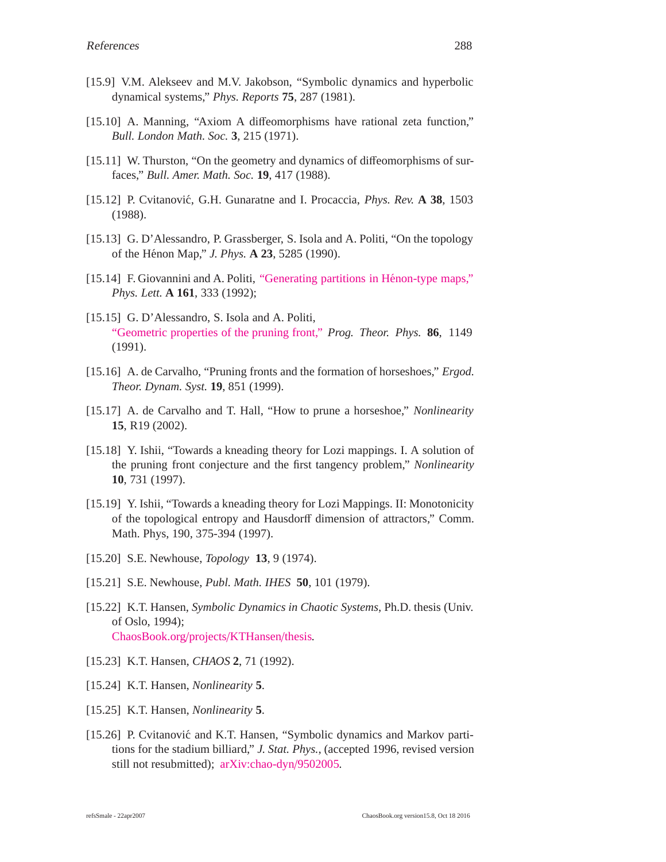- [15.9] V.M. Alekseev and M.V. Jakobson, "Symbolic dynamics and hyperbolic dynamical systems," *Phys. Reports* **75**, 287 (1981).
- [15.10] A. Manning, "Axiom A diffeomorphisms have rational zeta function," *Bull. London Math. Soc.* **3**, 215 (1971).
- [15.11] W. Thurston, "On the geometry and dynamics of diffeomorphisms of surfaces," *Bull. Amer. Math. Soc.* **19**, 417 (1988).
- [15.12] P. Cvitanovi´c, G.H. Gunaratne and I. Procaccia, *Phys. Rev.* **A 38**, 1503 (1988).
- [15.13] G. D'Alessandro, P. Grassberger, S. Isola and A. Politi, "On the topology of the H´enon Map," *J. Phys.* **A 23**, 5285 (1990).
- [15.14] F. Giovannini and A. Politi, "Generating partitions in Hénon-type maps," *Phys. Lett.* **A 161**, 333 (1992);
- [15.15] G. D'Alessandro, S. Isola and A. Politi, "Geometric properties of the pruning front," *Prog. Theor. Phys.* **86**, 1149 (1991).
- [15.16] A. de Carvalho, "Pruning fronts and the formation of horseshoes," *Ergod. Theor. Dynam. Syst.* **19**, 851 (1999).
- [15.17] A. de Carvalho and T. Hall, "How to prune a horseshoe," *Nonlinearity* **15**, R19 (2002).
- [15.18] Y. Ishii, "Towards a kneading theory for Lozi mappings. I. A solution of the pruning front conjecture and the first tangency problem," *Nonlinearity* **10**, 731 (1997).
- [15.19] Y. Ishii, "Towards a kneading theory for Lozi Mappings. II: Monotonicity of the topological entropy and Hausdorff dimension of attractors," Comm. Math. Phys, 190, 375-394 (1997).
- [15.20] S.E. Newhouse, *Topology* **13**, 9 (1974).
- [15.21] S.E. Newhouse, *Publ. Math. IHES* **50**, 101 (1979).
- [15.22] K.T. Hansen, *Symbolic Dynamics in Chaotic Systems*, Ph.D. thesis (Univ. of Oslo, 1994); ChaosBook.org/projects/KTHansen/thesis.
- [15.23] K.T. Hansen, *CHAOS* **2**, 71 (1992).
- [15.24] K.T. Hansen, *Nonlinearity* **5**.
- [15.25] K.T. Hansen, *Nonlinearity* **5**.
- [15.26] P. Cvitanović and K.T. Hansen, "Symbolic dynamics and Markov partitions for the stadium billiard," *J. Stat. Phys.*, (accepted 1996, revised version still not resubmitted); arXiv:chao-dyn/9502005.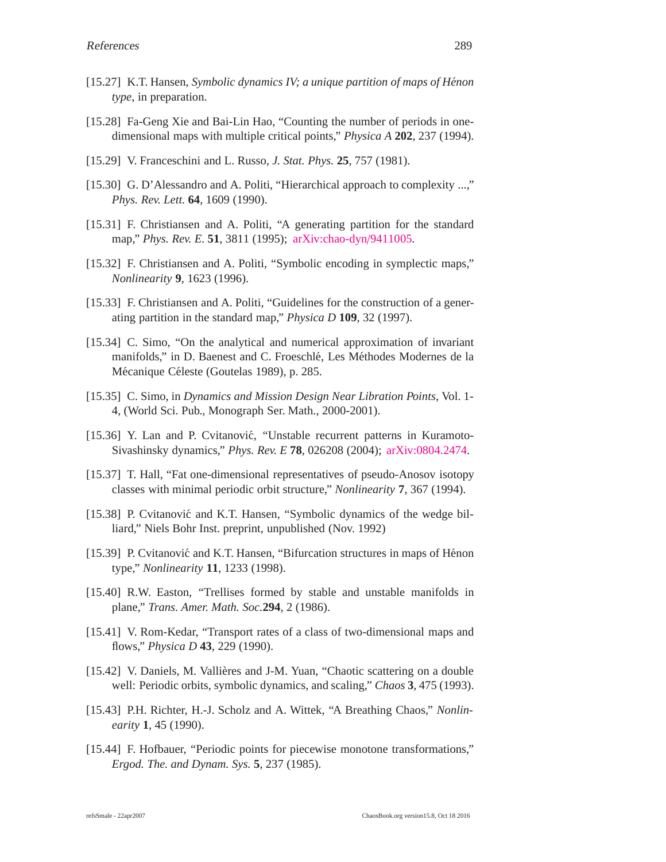- [15.27] K.T. Hansen, *Symbolic dynamics IV; a unique partition of maps of Hénon type*, in preparation.
- [15.28] Fa-Geng Xie and Bai-Lin Hao, "Counting the number of periods in onedimensional maps with multiple critical points," *Physica A* **202**, 237 (1994).
- [15.29] V. Franceschini and L. Russo, *J. Stat. Phys.* **25**, 757 (1981).
- [15.30] G. D'Alessandro and A. Politi, "Hierarchical approach to complexity ...," *Phys. Rev. Lett.* **64**, 1609 (1990).
- [15.31] F. Christiansen and A. Politi, "A generating partition for the standard map," *Phys. Rev. E.* **51**, 3811 (1995); arXiv:chao-dyn/9411005.
- [15.32] F. Christiansen and A. Politi, "Symbolic encoding in symplectic maps," *Nonlinearity* **9**, 1623 (1996).
- [15.33] F. Christiansen and A. Politi, "Guidelines for the construction of a generating partition in the standard map," *Physica D* **109**, 32 (1997).
- [15.34] C. Simo, "On the analytical and numerical approximation of invariant manifolds," in D. Baenest and C. Froeschlé, Les Méthodes Modernes de la Mécanique Céleste (Goutelas 1989), p. 285.
- [15.35] C. Simo, in *Dynamics and Mission Design Near Libration Points*, Vol. 1- 4, (World Sci. Pub., Monograph Ser. Math., 2000-2001).
- [15.36] Y. Lan and P. Cvitanović, "Unstable recurrent patterns in Kuramoto-Sivashinsky dynamics," *Phys. Rev. E* **78**, 026208 (2004); arXiv:0804.2474.
- [15.37] T. Hall, "Fat one-dimensional representatives of pseudo-Anosov isotopy classes with minimal periodic orbit structure," *Nonlinearity* **7**, 367 (1994).
- [15.38] P. Cvitanović and K.T. Hansen, "Symbolic dynamics of the wedge billiard," Niels Bohr Inst. preprint, unpublished (Nov. 1992)
- [15.39] P. Cvitanović and K.T. Hansen, "Bifurcation structures in maps of Hénon type," *Nonlinearity* **11**, 1233 (1998).
- [15.40] R.W. Easton, "Trellises formed by stable and unstable manifolds in plane," *Trans. Amer. Math. Soc.***294**, 2 (1986).
- [15.41] V. Rom-Kedar, "Transport rates of a class of two-dimensional maps and flows," *Physica D* **43**, 229 (1990).
- [15.42] V. Daniels, M. Vallières and J-M. Yuan, "Chaotic scattering on a double well: Periodic orbits, symbolic dynamics, and scaling," *Chaos* **3**, 475 (1993).
- [15.43] P.H. Richter, H.-J. Scholz and A. Wittek, "A Breathing Chaos," *Nonlinearity* **1**, 45 (1990).
- [15.44] F. Hofbauer, "Periodic points for piecewise monotone transformations," *Ergod. The. and Dynam. Sys.* **5**, 237 (1985).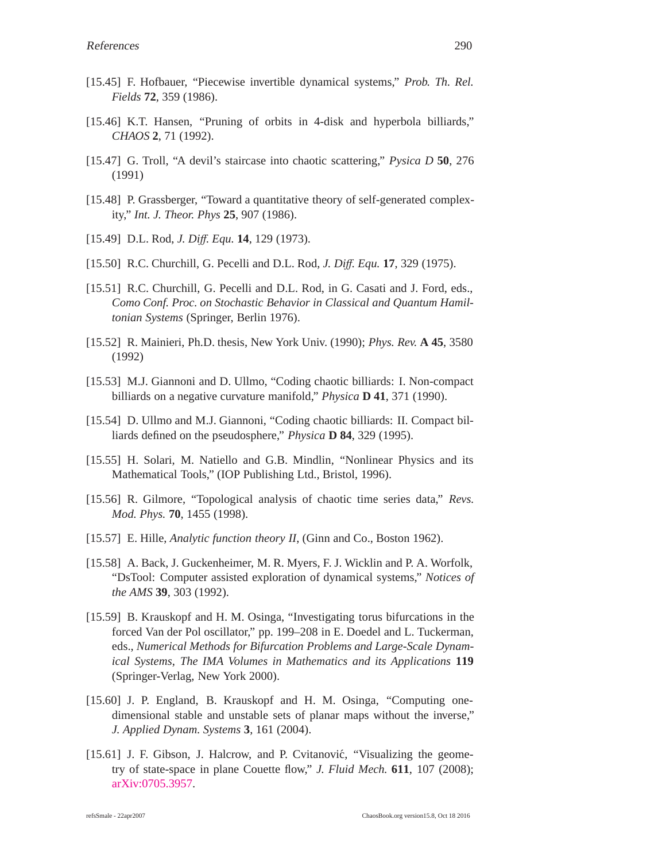- [15.45] F. Hofbauer, "Piecewise invertible dynamical systems," *Prob. Th. Rel. Fields* **72**, 359 (1986).
- [15.46] K.T. Hansen, "Pruning of orbits in 4-disk and hyperbola billiards," *CHAOS* **2**, 71 (1992).
- [15.47] G. Troll, "A devil's staircase into chaotic scattering," *Pysica D* **50**, 276 (1991)
- [15.48] P. Grassberger, "Toward a quantitative theory of self-generated complexity," *Int. J. Theor. Phys* **25**, 907 (1986).
- [15.49] D.L. Rod, *J. Di*ff*. Equ.* **14**, 129 (1973).
- [15.50] R.C. Churchill, G. Pecelli and D.L. Rod, *J. Di*ff*. Equ.* **17**, 329 (1975).
- [15.51] R.C. Churchill, G. Pecelli and D.L. Rod, in G. Casati and J. Ford, eds., *Como Conf. Proc. on Stochastic Behavior in Classical and Quantum Hamiltonian Systems* (Springer, Berlin 1976).
- [15.52] R. Mainieri, Ph.D. thesis, New York Univ. (1990); *Phys. Rev.* **A 45**, 3580 (1992)
- [15.53] M.J. Giannoni and D. Ullmo, "Coding chaotic billiards: I. Non-compact billiards on a negative curvature manifold," *Physica* **D 41**, 371 (1990).
- [15.54] D. Ullmo and M.J. Giannoni, "Coding chaotic billiards: II. Compact billiards defined on the pseudosphere," *Physica* **D 84**, 329 (1995).
- [15.55] H. Solari, M. Natiello and G.B. Mindlin, "Nonlinear Physics and its Mathematical Tools," (IOP Publishing Ltd., Bristol, 1996).
- [15.56] R. Gilmore, "Topological analysis of chaotic time series data," *Revs. Mod. Phys.* **70**, 1455 (1998).
- [15.57] E. Hille, *Analytic function theory II*, (Ginn and Co., Boston 1962).
- [15.58] A. Back, J. Guckenheimer, M. R. Myers, F. J. Wicklin and P. A. Worfolk, "DsTool: Computer assisted exploration of dynamical systems," *Notices of the AMS* **39**, 303 (1992).
- [15.59] B. Krauskopf and H. M. Osinga, "Investigating torus bifurcations in the forced Van der Pol oscillator," pp. 199–208 in E. Doedel and L. Tuckerman, eds., *Numerical Methods for Bifurcation Problems and Large-Scale Dynamical Systems*, *The IMA Volumes in Mathematics and its Applications* **119** (Springer-Verlag, New York 2000).
- [15.60] J. P. England, B. Krauskopf and H. M. Osinga, "Computing onedimensional stable and unstable sets of planar maps without the inverse," *J. Applied Dynam. Systems* **3**, 161 (2004).
- [15.61] J. F. Gibson, J. Halcrow, and P. Cvitanović, "Visualizing the geometry of state-space in plane Couette flow," *J. Fluid Mech.* **611**, 107 (2008); arXiv:0705.3957.